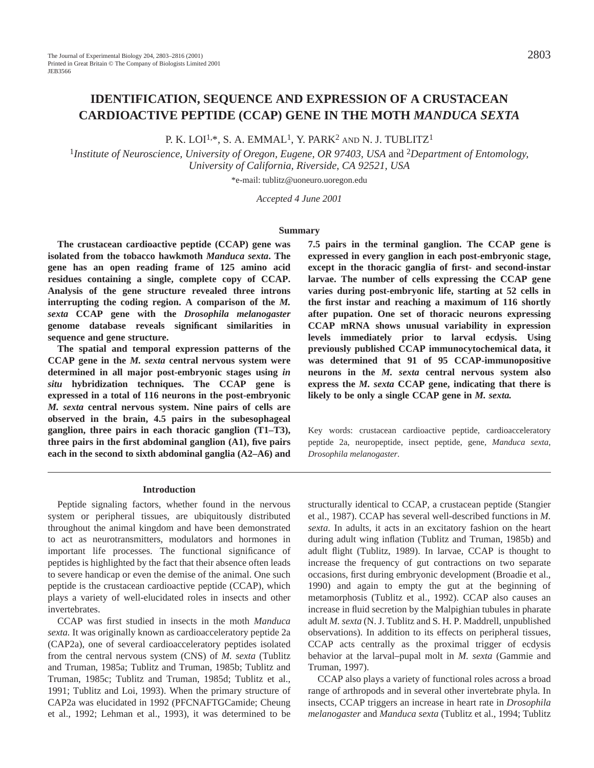# **IDENTIFICATION, SEQUENCE AND EXPRESSION OF A CRUSTACEAN CARDIOACTIVE PEPTIDE (CCAP) GENE IN THE MOTH** *MANDUCA SEXTA*

P. K. LOI<sup>1,\*</sup>, S. A. EMMAL<sup>1</sup>, Y. PARK<sup>2</sup> AND N. J. TUBLITZ<sup>1</sup>

<sup>1</sup>*Institute of Neuroscience, University of Oregon, Eugene, OR 97403, USA* and 2*Department of Entomology, University of California, Riverside, CA 92521, USA*

\*e-mail: tublitz@uoneuro.uoregon.edu

*Accepted 4 June 2001*

#### **Summary**

**The crustacean cardioactive peptide (CCAP) gene was isolated from the tobacco hawkmoth** *Manduca sexta***. The gene has an open reading frame of 125 amino acid residues containing a single, complete copy of CCAP. Analysis of the gene structure revealed three introns interrupting the coding region. A comparison of the** *M. sexta* **CCAP gene with the** *Drosophila melanogaster* **genome database reveals significant similarities in sequence and gene structure.**

**The spatial and temporal expression patterns of the CCAP gene in the** *M. sexta* **central nervous system were determined in all major post-embryonic stages using** *in situ* **hybridization techniques. The CCAP gene is expressed in a total of 116 neurons in the post-embryonic** *M. sexta* **central nervous system. Nine pairs of cells are observed in the brain, 4.5 pairs in the subesophageal ganglion, three pairs in each thoracic ganglion (T1–T3), three pairs in the first abdominal ganglion (A1), five pairs each in the second to sixth abdominal ganglia (A2–A6) and** **7.5 pairs in the terminal ganglion. The CCAP gene is expressed in every ganglion in each post-embryonic stage, except in the thoracic ganglia of first- and second-instar larvae. The number of cells expressing the CCAP gene varies during post-embryonic life, starting at 52 cells in the first instar and reaching a maximum of 116 shortly after pupation. One set of thoracic neurons expressing CCAP mRNA shows unusual variability in expression levels immediately prior to larval ecdysis. Using previously published CCAP immunocytochemical data, it was determined that 91 of 95 CCAP-immunopositive neurons in the** *M. sexta* **central nervous system also express the** *M. sexta* **CCAP gene, indicating that there is likely to be only a single CCAP gene in** *M. sexta.*

Key words: crustacean cardioactive peptide, cardioacceleratory peptide 2a, neuropeptide, insect peptide, gene, *Manduca sexta*, *Drosophila melanogaster*.

#### **Introduction**

Peptide signaling factors, whether found in the nervous system or peripheral tissues, are ubiquitously distributed throughout the animal kingdom and have been demonstrated to act as neurotransmitters, modulators and hormones in important life processes. The functional significance of peptides is highlighted by the fact that their absence often leads to severe handicap or even the demise of the animal. One such peptide is the crustacean cardioactive peptide (CCAP), which plays a variety of well-elucidated roles in insects and other invertebrates.

CCAP was first studied in insects in the moth *Manduca sexta.* It was originally known as cardioacceleratory peptide 2a (CAP2a), one of several cardioacceleratory peptides isolated from the central nervous system (CNS) of *M. sexta* (Tublitz and Truman, 1985a; Tublitz and Truman, 1985b; Tublitz and Truman, 1985c; Tublitz and Truman, 1985d; Tublitz et al., 1991; Tublitz and Loi, 1993). When the primary structure of CAP2a was elucidated in 1992 (PFCNAFTGCamide; Cheung et al., 1992; Lehman et al., 1993), it was determined to be

structurally identical to CCAP, a crustacean peptide (Stangier et al., 1987). CCAP has several well-described functions in *M. sexta*. In adults, it acts in an excitatory fashion on the heart during adult wing inflation (Tublitz and Truman, 1985b) and adult flight (Tublitz, 1989). In larvae, CCAP is thought to increase the frequency of gut contractions on two separate occasions, first during embryonic development (Broadie et al., 1990) and again to empty the gut at the beginning of metamorphosis (Tublitz et al., 1992). CCAP also causes an increase in fluid secretion by the Malpighian tubules in pharate adult *M. sexta* (N. J. Tublitz and S. H. P. Maddrell, unpublished observations). In addition to its effects on peripheral tissues, CCAP acts centrally as the proximal trigger of ecdysis behavior at the larval–pupal molt in *M. sexta* (Gammie and Truman, 1997).

CCAP also plays a variety of functional roles across a broad range of arthropods and in several other invertebrate phyla. In insects, CCAP triggers an increase in heart rate in *Drosophila melanogaster* and *Manduca sexta* (Tublitz et al., 1994; Tublitz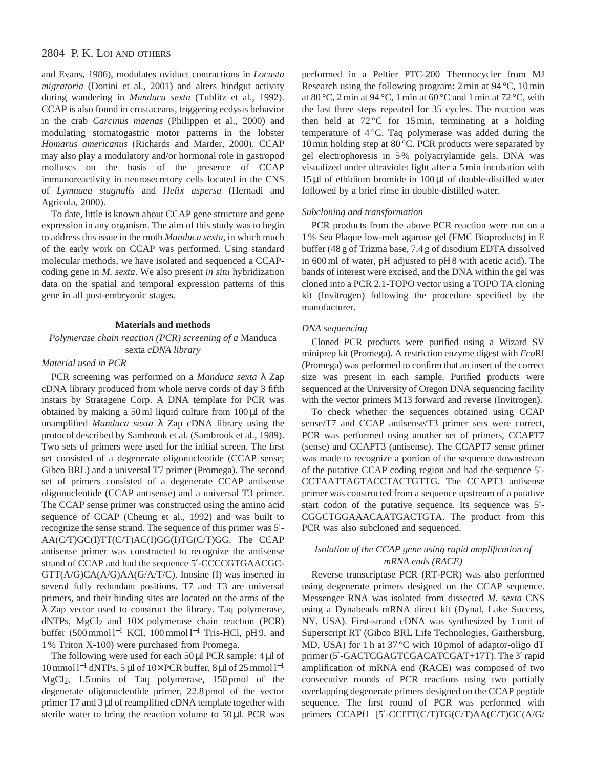and Evans, 1986), modulates oviduct contractions in *Locusta migratoria* (Donini et al., 2001) and alters hindgut activity during wandering in *Manduca sexta* (Tublitz et al., 1992). CCAP is also found in crustaceans, triggering ecdysis behavior in the crab *Carcinus maenas* (Philippen et al., 2000) and modulating stomatogastric motor patterns in the lobster *Homarus americanus* (Richards and Marder, 2000). CCAP may also play a modulatory and/or hormonal role in gastropod molluscs on the basis of the presence of CCAP immunoreactivity in neurosecretory cells located in the CNS of *Lymnaea stagnalis* and *Helix aspersa* (Hernadi and Agricola, 2000).

To date, little is known about CCAP gene structure and gene expression in any organism. The aim of this study was to begin to address this issue in the moth *Manduca sexta*, in which much of the early work on CCAP was performed. Using standard molecular methods, we have isolated and sequenced a CCAPcoding gene in *M. sexta*. We also present *in situ* hybridization data on the spatial and temporal expression patterns of this gene in all post-embryonic stages.

# **Materials and methods**

*Polymerase chain reaction (PCR) screening of a* Manduca sexta *cDNA library*

# *Material used in PCR*

PCR screening was performed on a *Manduca sexta* λ Zap cDNA library produced from whole nerve cords of day 3 fifth instars by Stratagene Corp. A DNA template for PCR was obtained by making a 50 ml liquid culture from  $100 \mu$ l of the unamplified *Manduca sexta* λ Zap cDNA library using the protocol described by Sambrook et al. (Sambrook et al., 1989). Two sets of primers were used for the initial screen. The first set consisted of a degenerate oligonucleotide (CCAP sense; Gibco BRL) and a universal T7 primer (Promega). The second set of primers consisted of a degenerate CCAP antisense oligonucleotide (CCAP antisense) and a universal T3 primer. The CCAP sense primer was constructed using the amino acid sequence of CCAP (Cheung et al., 1992) and was built to recognize the sense strand. The sequence of this primer was 5′- AA(C/T)GC(I)TT(C/T)AC(I)GG(I)TG(C/T)GG. The CCAP antisense primer was constructed to recognize the antisense strand of CCAP and had the sequence 5′-CCCCGTGAACGC-GTT(A/G)CA(A/G)AA(G/A/T/C). Inosine (I) was inserted in several fully redundant positions. T7 and T3 are universal primers, and their binding sites are located on the arms of the λ Zap vector used to construct the library. Taq polymerase, dNTPs, MgCl2 and 10× polymerase chain reaction (PCR) buffer (500 mmol l−<sup>1</sup> KCl, 100 mmol l−<sup>1</sup> Tris-HCl, pH 9, and 1 % Triton X-100) were purchased from Promega.

The following were used for each  $50 \mu$ l PCR sample:  $4 \mu$ l of 10 mmol l−<sup>1</sup> dNTPs, 5 µl of 10× PCR buffer, 8 µl of 25 mmol l−<sup>1</sup> MgCl2, 1.5 units of Taq polymerase, 150 pmol of the degenerate oligonucleotide primer, 22.8 pmol of the vector primer T7 and 3 µl of reamplified cDNA template together with sterile water to bring the reaction volume to  $50 \mu$ l. PCR was

performed in a Peltier PTC-200 Thermocycler from MJ Research using the following program: 2 min at 94 °C, 10 min at 80 °C, 2 min at 94 °C, 1 min at 60 °C and 1 min at 72 °C, with the last three steps repeated for 35 cycles. The reaction was then held at  $72^{\circ}$ C for 15 min, terminating at a holding temperature of 4 °C. Taq polymerase was added during the 10 min holding step at 80 °C. PCR products were separated by gel electrophoresis in 5 % polyacrylamide gels. DNA was visualized under ultraviolet light after a 5 min incubation with  $15 \mu$ l of ethidium bromide in  $100 \mu$ l of double-distilled water followed by a brief rinse in double-distilled water.

#### *Subcloning and transformation*

PCR products from the above PCR reaction were run on a 1 % Sea Plaque low-melt agarose gel (FMC Bioproducts) in E buffer (48 g of Trizma base, 7.4 g of disodium EDTA dissolved in 600 ml of water, pH adjusted to pH 8 with acetic acid). The bands of interest were excised, and the DNA within the gel was cloned into a PCR 2.1-TOPO vector using a TOPO TA cloning kit (Invitrogen) following the procedure specified by the manufacturer.

#### *DNA sequencing*

Cloned PCR products were purified using a Wizard SV miniprep kit (Promega). A restriction enzyme digest with *Eco*RI (Promega) was performed to confirm that an insert of the correct size was present in each sample. Purified products were sequenced at the University of Oregon DNA sequencing facility with the vector primers M13 forward and reverse (Invitrogen).

To check whether the sequences obtained using CCAP sense/T7 and CCAP antisense/T3 primer sets were correct, PCR was performed using another set of primers, CCAPT7 (sense) and CCAPT3 (antisense). The CCAPT7 sense primer was made to recognize a portion of the sequence downstream of the putative CCAP coding region and had the sequence 5′- CCTAATTAGTACCTACTGTTG. The CCAPT3 antisense primer was constructed from a sequence upstream of a putative start codon of the putative sequence. Its sequence was 5′- CGGCTGGAAACAATGACTGTA. The product from this PCR was also subcloned and sequenced.

# *Isolation of the CCAP gene using rapid amplification of mRNA ends (RACE)*

Reverse transcriptase PCR (RT-PCR) was also performed using degenerate primers designed on the CCAP sequence. Messenger RNA was isolated from dissected *M. sexta* CNS using a Dynabeads mRNA direct kit (Dynal, Lake Success, NY, USA). First-strand cDNA was synthesized by 1 unit of Superscript RT (Gibco BRL Life Technologies, Gaithersburg, MD, USA) for 1 h at 37 °C with 10 pmol of adaptor-oligo dT primer (5'-GACTCGAGTCGACATCGAT+17T). The 3' rapid amplification of mRNA end (RACE) was composed of two consecutive rounds of PCR reactions using two partially overlapping degenerate primers designed on the CCAP peptide sequence. The first round of PCR was performed with primers CCAPf1 [5'-CCITT(C/T)TG(C/T)AA(C/T)GC(A/G/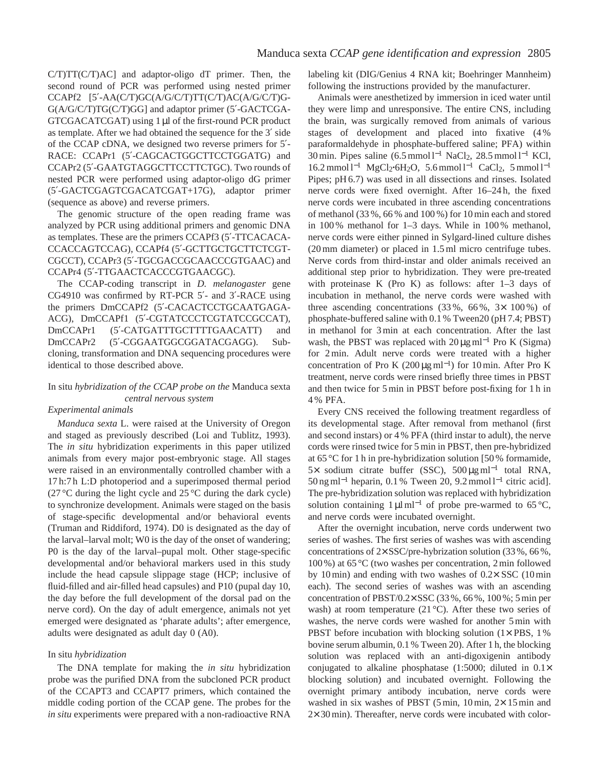C/T)TT(C/T)AC] and adaptor-oligo dT primer. Then, the second round of PCR was performed using nested primer CCAPf2 [5′-AA(C/T)GC(A/G/C/T)TT(C/T)AC(A/G/C/T)G-G(A/G/C/T)TG(C/T)GG] and adaptor primer (5′-GACTCGA-GTCGACATCGAT) using 1 µl of the first-round PCR product as template. After we had obtained the sequence for the 3′ side of the CCAP cDNA, we designed two reverse primers for 5′- RACE: CCAPr1 (5'-CAGCACTGGCTTCCTGGATG) and CCAPr2 (5′-GAATGTAGGCTTCCTTCTGC). Two rounds of nested PCR were performed using adaptor-oligo dG primer (5′-GACTCGAGTCGACATCGAT+17G), adaptor primer (sequence as above) and reverse primers.

The genomic structure of the open reading frame was analyzed by PCR using additional primers and genomic DNA as templates. These are the primers CCAPf3 (5′-TTCACACA-CCACCAGTCCAG), CCAPf4 (5′-GCTTGCTGCTTCTCGT-CGCCT), CCAPr3 (5′-TGCGACCGCAACCCGTGAAC) and CCAPr4 (5′-TTGAACTCACCCGTGAACGC).

The CCAP-coding transcript in *D. melanogaster* gene CG4910 was confirmed by RT-PCR 5′- and 3′-RACE using the primers DmCCAPf2 (5′-CACACTCCTGCAATGAGA-ACG), DmCCAPf1 (5′-CGTATCCCTCGTATCCGCCAT), DmCCAPr1 (5'-CATGATTTGCTTTTGAACATT) and DmCCAPr2 (5′-CGGAATGGCGGATACGAGG). Subcloning, transformation and DNA sequencing procedures were identical to those described above.

# In situ *hybridization of the CCAP probe on the* Manduca sexta *central nervous system*

# *Experimental animals*

*Manduca sexta* L. were raised at the University of Oregon and staged as previously described (Loi and Tublitz, 1993). The *in situ* hybridization experiments in this paper utilized animals from every major post-embryonic stage. All stages were raised in an environmentally controlled chamber with a 17 h:7 h L:D photoperiod and a superimposed thermal period (27 °C during the light cycle and  $25$  °C during the dark cycle) to synchronize development. Animals were staged on the basis of stage-specific developmental and/or behavioral events (Truman and Riddiford, 1974). D0 is designated as the day of the larval–larval molt; W0 is the day of the onset of wandering; P0 is the day of the larval–pupal molt. Other stage-specific developmental and/or behavioral markers used in this study include the head capsule slippage stage (HCP; inclusive of fluid-filled and air-filled head capsules) and P10 (pupal day 10, the day before the full development of the dorsal pad on the nerve cord). On the day of adult emergence, animals not yet emerged were designated as 'pharate adults'; after emergence, adults were designated as adult day 0 (A0).

#### In situ *hybridization*

The DNA template for making the *in situ* hybridization probe was the purified DNA from the subcloned PCR product of the CCAPT3 and CCAPT7 primers, which contained the middle coding portion of the CCAP gene. The probes for the *in situ* experiments were prepared with a non-radioactive RNA labeling kit (DIG/Genius 4 RNA kit; Boehringer Mannheim) following the instructions provided by the manufacturer.

Animals were anesthetized by immersion in iced water until they were limp and unresponsive. The entire CNS, including the brain, was surgically removed from animals of various stages of development and placed into fixative (4 % paraformaldehyde in phosphate-buffered saline; PFA) within 30 min. Pipes saline (6.5 mmol l−<sup>1</sup> NaCl2, 28.5 mmol l−<sup>1</sup> KCl, 16.2 mmol l−<sup>1</sup> MgCl2**·**6H2O, 5.6 mmol l−<sup>1</sup> CaCl2, 5 mmol l−<sup>1</sup> Pipes; pH 6.7) was used in all dissections and rinses. Isolated nerve cords were fixed overnight. After 16–24 h, the fixed nerve cords were incubated in three ascending concentrations of methanol (33 %, 66 % and 100 %) for 10 min each and stored in 100 % methanol for 1–3 days. While in 100 % methanol, nerve cords were either pinned in Sylgard-lined culture dishes (20 mm diameter) or placed in 1.5 ml micro centrifuge tubes. Nerve cords from third-instar and older animals received an additional step prior to hybridization. They were pre-treated with proteinase K (Pro K) as follows: after 1–3 days of incubation in methanol, the nerve cords were washed with three ascending concentrations  $(33\%, 66\%, 3\times 100\%)$  of phosphate-buffered saline with 0.1 % Tween20 (pH 7.4; PBST) in methanol for 3 min at each concentration. After the last wash, the PBST was replaced with  $20 \mu g$  ml<sup>-1</sup> Pro K (Sigma) for 2 min. Adult nerve cords were treated with a higher concentration of Pro K (200  $\mu$ g ml<sup>-1</sup>) for 10 min. After Pro K treatment, nerve cords were rinsed briefly three times in PBST and then twice for 5 min in PBST before post-fixing for 1 h in 4 % PFA.

Every CNS received the following treatment regardless of its developmental stage. After removal from methanol (first and second instars) or 4 % PFA (third instar to adult), the nerve cords were rinsed twice for 5 min in PBST, then pre-hybridized at 65 °C for 1 h in pre-hybridization solution [50 % formamide, 5× sodium citrate buffer (SSC), 500 µg ml−<sup>1</sup> total RNA, 50 ng ml−<sup>1</sup> heparin, 0.1 % Tween 20, 9.2 mmol l−<sup>1</sup> citric acid]. The pre-hybridization solution was replaced with hybridization solution containing  $1 \mu I \text{m}^{-1}$  of probe pre-warmed to 65 °C, and nerve cords were incubated overnight.

After the overnight incubation, nerve cords underwent two series of washes. The first series of washes was with ascending concentrations of  $2 \times$  SSC/pre-hybrization solution (33 %, 66 %, 100 %) at 65 °C (two washes per concentration, 2 min followed by 10 min) and ending with two washes of  $0.2 \times$  SSC (10 min each). The second series of washes was with an ascending concentration of PBST/0.2× SSC (33 %, 66 %, 100 %; 5 min per wash) at room temperature (21 °C). After these two series of washes, the nerve cords were washed for another 5 min with PBST before incubation with blocking solution (1× PBS, 1%) bovine serum albumin, 0.1 % Tween 20). After 1 h, the blocking solution was replaced with an anti-digoxigenin antibody conjugated to alkaline phosphatase (1:5000; diluted in  $0.1\times$ blocking solution) and incubated overnight. Following the overnight primary antibody incubation, nerve cords were washed in six washes of PBST (5 min,  $10 \text{ min}$ ,  $2 \times 15 \text{ min}$  and 2× 30 min). Thereafter, nerve cords were incubated with color-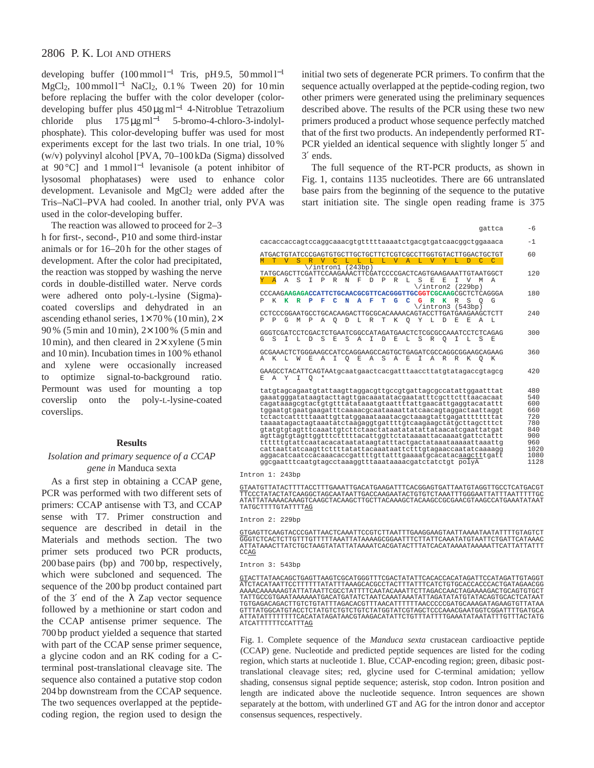developing buffer (100 mmol l<sup>-1</sup> Tris, pH 9.5, 50 mmol l<sup>-1</sup> MgCl<sub>2</sub>, 100 mmol l<sup>-1</sup> NaCl<sub>2</sub>, 0.1 % Tween 20) for 10 min before replacing the buffer with the color developer (colordeveloping buffer plus 450 µg ml−<sup>1</sup> 4-Nitroblue Tetrazolium chloride plus 175 µg ml−<sup>1</sup> 5-bromo-4-chloro-3-indolylphosphate). This color-developing buffer was used for most experiments except for the last two trials. In one trial, 10 % (w/v) polyvinyl alcohol [PVA, 70–100 kDa (Sigma) dissolved at 90 °C] and 1 mmol l−<sup>1</sup> levanisole (a potent inhibitor of lysosomal phophatases) were used to enhance color development. Levanisole and MgCl<sub>2</sub> were added after the Tris–NaCl–PVA had cooled. In another trial, only PVA was used in the color-developing buffer.

The reaction was allowed to proceed for 2–3 h for first-, second-, P10 and some third-instar animals or for 16–20 h for the other stages of development. After the color had precipitated, the reaction was stopped by washing the nerve cords in double-distilled water. Nerve cords were adhered onto poly-L-lysine (Sigma) coated coverslips and dehydrated in an ascending ethanol series,  $1 \times 70\%$  (10 min),  $2 \times$ 90 % (5 min and 10 min), 2× 100 % (5 min and 10 min), and then cleared in  $2\times$  xylene (5 min) and 10 min). Incubation times in 100 % ethanol and xylene were occasionally increased to optimize signal-to-background ratio. Permount was used for mounting a top coverslip onto the poly-L-lysine-coated coverslips.

#### **Results**

### *Isolation and primary sequence of a CCAP gene in* Manduca sexta

As a first step in obtaining a CCAP gene, PCR was performed with two different sets of primers: CCAP antisense with T3, and CCAP sense with T7. Primer construction and sequence are described in detail in the Materials and methods section. The two primer sets produced two PCR products, 200 base pairs (bp) and 700 bp, respectively, which were subcloned and sequenced. The sequence of the 200 bp product contained part of the 3' end of the  $\lambda$  Zap vector sequence followed by a methionine or start codon and the CCAP antisense primer sequence. The 700 bp product yielded a sequence that started with part of the CCAP sense primer sequence, a glycine codon and an RK coding for a Cterminal post-translational cleavage site. The sequence also contained a putative stop codon 204 bp downstream from the CCAP sequence. The two sequences overlapped at the peptidecoding region, the region used to design the

initial two sets of degenerate PCR primers. To confirm that the sequence actually overlapped at the peptide-coding region, two other primers were generated using the preliminary sequences described above. The results of the PCR using these two new primers produced a product whose sequence perfectly matched that of the first two products. An independently performed RT-PCR yielded an identical sequence with slightly longer 5′ and 3′ ends.

The full sequence of the RT-PCR products, as shown in Fig. 1, contains 1135 nucleotides. There are 66 untranslated base pairs from the beginning of the sequence to the putative start initiation site. The single open reading frame is 375

| T V<br>TATGCAGCTTCGATTCCAAGAAACTTCGATCCCCGACTCAGTGAAGAAATTGTAATGGCT<br>$\overline{A}$<br>Α | <b>S</b><br>S | R            | $\overline{V}$<br>\/intron1 (243bp) | $\mathcal{C}$ | T.      | $L = L$ |   | T. | $\overline{V}$ | $\mathbb{A}$ | T. | $\overline{V}$          |              |    | D  | C       | C                                                            |                                                                                                                                                                                                                                                                                                                                                                                                                                                                                                                                                                                                                                                              |
|--------------------------------------------------------------------------------------------|---------------|--------------|-------------------------------------|---------------|---------|---------|---|----|----------------|--------------|----|-------------------------|--------------|----|----|---------|--------------------------------------------------------------|--------------------------------------------------------------------------------------------------------------------------------------------------------------------------------------------------------------------------------------------------------------------------------------------------------------------------------------------------------------------------------------------------------------------------------------------------------------------------------------------------------------------------------------------------------------------------------------------------------------------------------------------------------------|
|                                                                                            |               |              |                                     |               |         |         |   |    |                |              |    |                         | Y.           | т. |    |         |                                                              |                                                                                                                                                                                                                                                                                                                                                                                                                                                                                                                                                                                                                                                              |
|                                                                                            |               |              |                                     |               |         |         |   |    |                |              |    |                         |              |    |    |         |                                                              |                                                                                                                                                                                                                                                                                                                                                                                                                                                                                                                                                                                                                                                              |
|                                                                                            |               | т            | $\mathsf{P}$                        | R             | N       | F       | D | P  | R              | т.           | S  | F.<br>\/intron2 (229bp) | $F_{i}$      | T. | V  | M       | A                                                            |                                                                                                                                                                                                                                                                                                                                                                                                                                                                                                                                                                                                                                                              |
|                                                                                            |               |              |                                     |               |         |         |   |    |                |              |    |                         |              |    |    |         | CCCAAGAAGAGACCATTCTGCAACGCGTTCACGGGTTGCGGTCGCAAGCGCTCTCAGGGA |                                                                                                                                                                                                                                                                                                                                                                                                                                                                                                                                                                                                                                                              |
| K<br>к                                                                                     | $\mathbf{R}$  | P            | F                                   | е             | N       | А       | F | T  | G              | $\mathbf C$  | G  | $\mathbf{R}$            | $\mathbf{K}$ | R  | S  | $\circ$ | G                                                            |                                                                                                                                                                                                                                                                                                                                                                                                                                                                                                                                                                                                                                                              |
| P<br>G                                                                                     | M             | $\mathsf{P}$ | A                                   | O             | D       | T.      | R | т  | K              | $\circ$      | Y  | T.                      | D            | E. | F. | А       | L.                                                           |                                                                                                                                                                                                                                                                                                                                                                                                                                                                                                                                                                                                                                                              |
|                                                                                            |               |              |                                     |               |         |         |   |    |                |              |    |                         |              |    |    |         |                                                              |                                                                                                                                                                                                                                                                                                                                                                                                                                                                                                                                                                                                                                                              |
| S<br>T.                                                                                    | т.            | D            | S                                   | E.            | S       | A       | I | D  | E.             | L            | S  | R                       | $\circ$      | I  | L  | S       | E.                                                           |                                                                                                                                                                                                                                                                                                                                                                                                                                                                                                                                                                                                                                                              |
| A K<br>$-L$                                                                                | W             | F.           | Α                                   | I             | $\circ$ | Ε       | Α | S  | Α              | E            | I  | Α                       | R            | R  | K  | $\circ$ | К                                                            |                                                                                                                                                                                                                                                                                                                                                                                                                                                                                                                                                                                                                                                              |
| A Y                                                                                        | I             |              | $^\star$                            |               |         |         |   |    |                |              |    |                         |              |    |    |         |                                                              |                                                                                                                                                                                                                                                                                                                                                                                                                                                                                                                                                                                                                                                              |
|                                                                                            |               |              |                                     |               |         |         |   |    |                |              |    |                         |              |    |    |         |                                                              |                                                                                                                                                                                                                                                                                                                                                                                                                                                                                                                                                                                                                                                              |
|                                                                                            |               |              |                                     |               |         |         |   |    |                |              |    |                         |              |    |    |         |                                                              |                                                                                                                                                                                                                                                                                                                                                                                                                                                                                                                                                                                                                                                              |
|                                                                                            |               |              |                                     |               |         |         |   |    |                |              |    |                         |              |    |    |         |                                                              |                                                                                                                                                                                                                                                                                                                                                                                                                                                                                                                                                                                                                                                              |
|                                                                                            |               |              |                                     |               |         |         |   |    |                |              |    |                         |              |    |    |         |                                                              |                                                                                                                                                                                                                                                                                                                                                                                                                                                                                                                                                                                                                                                              |
|                                                                                            |               |              |                                     |               |         |         |   |    |                |              |    |                         |              |    |    |         |                                                              |                                                                                                                                                                                                                                                                                                                                                                                                                                                                                                                                                                                                                                                              |
|                                                                                            |               |              |                                     |               |         |         |   |    |                |              |    |                         |              |    |    |         |                                                              |                                                                                                                                                                                                                                                                                                                                                                                                                                                                                                                                                                                                                                                              |
| cattaattatcaagttcttttatattacaaataattctttqtagaaccaatatcaaaagg                               |               |              |                                     |               |         |         |   |    |                |              |    |                         |              |    |    |         |                                                              |                                                                                                                                                                                                                                                                                                                                                                                                                                                                                                                                                                                                                                                              |
|                                                                                            |               |              | $\circ$                             |               |         |         |   |    |                |              |    |                         |              |    |    |         | \/intron3 (543bp)                                            | CCTCCCGGAATGCCTGCACAAGACTTGCGCACAAAACAGTACCTTGATGAAGAAGCTCTT<br>GGGTCGATCCTCGACTCTGAATCGGCCATAGATGAACTCTCGCGCCAAATCCTCTCAGAG<br>GCGAAACTCTGGGAAGCCATCCAGGAAGCCAGTGCTGAGATCGCCAGGCGGAAGCAGAAG<br>GAAGCCTACATTCAGTAAtgcaatgaactcacgatttaaccttatgtatagaccgtagcg<br>tatgtagcagaatgtattaagttaggacgttgccgtgattagcgccatattggaatttat<br>gaaatgggatataagtacttagttgacaaatatacgaatatttcgcttctttaacacaat<br>cagataaagcgtactgtgtttatataaatgtaattttattgaacattgaggtacatattt<br>tggaatgtgaatgaagatttcaaaacgcaataaaattatcaacagtaggactaattaggt<br>taaaatagactagtaaatatctaagaggtgattttgtcaagaagctatgcttagctttct<br>agttagtgtagttggtttctttttacattggttctataaaattacaaaatgattctattt |

<u>GT</u>AATGTTATACTTTTACCTTTGAAATTGACATGAAGATTTCACGGAGTGATTAATGTAGGTTGCCTCATGACGT<br>TTCCCTATACTATCAAGGCTAGCAATAATTGACCAAGAATACTGTGTCTAAATTTGGGAATTATTTAATTTTTGC ATATTATAAAACAAAGTCAAGCTACAAGCTTGCTTACAAAGCTACAAGCCGCGAACGTAAGCCATGAAATATAAT TATGCTTTTGTATTTTAG

Intron 2: 229bp

GTGAGTTCAAGTACCCGATTAACTCAAATTCCGTCTTAATTTGAAGGAAGTAATTAAAATAATATTTTGTAGTCT GGGTCTCACTCTTGTTTGTTTTTAAATTATAAAAGCGGAATTTCTTATTCAAATATGTAATTCTGATTCATAAAC ATTATAAACTTATCTGCTAAGTATATTATAAAATCACGATACTTTATCACATAAAATAAAAATTCATTATTATTT CCAG

Intron 3: 543bp

GTACTTATAACAGCTGAGTTAAGTCGCATGGGTTTCGACTATATTCACACCACATAGATTCCATAGATTGTAGGT ATCTACATAATTCCTTTTTTATATTTAAAGCACGCCTACTTTATTTCATCTGTGCACCACCCACTGATAGAACGG AAAACAAAAAAGTATTATAATTCGCCTATTTTCAATACAAATTCTTAGACCAACTAGAAAAGACTGCAGTGTGCT TATTGCCGTGAATAAAAAATGACATGATATCTAATCAAATAAATATTAGATATATGTATACAGTGCACTCATAAT TGTGAGACAGACTTGTCTGTATTTAGACACGTTTAACATTTTTTAACCCCCGATGCAAAGATAGAAGTGTTATAA GTTTATGGCATGTACCTCTATGTCTGTCTGTCTATGGTATCGTAGCTCCCAAACGAATGGTCGGATTTTGATGCA ATTATATTTTTTTTCACATATAGATAACGTAAGACATATTCTGTTTATTTTGAAATATAATATTTGTTTACTATG ATCATTTTTTCCATTTAG

Fig. 1. Complete sequence of the *Manduca sexta* crustacean cardioactive peptide (CCAP) gene. Nucleotide and predicted peptide sequences are listed for the coding region, which starts at nucleotide 1. Blue, CCAP-encoding region; green, dibasic posttranslational cleavage sites; red, glycine used for C-terminal amidation; yellow shading, consensus signal peptide sequence; asterisk, stop codon. Intron position and length are indicated above the nucleotide sequence. Intron sequences are shown separately at the bottom, with underlined GT and AG for the intron donor and acceptor consensus sequences, respectively.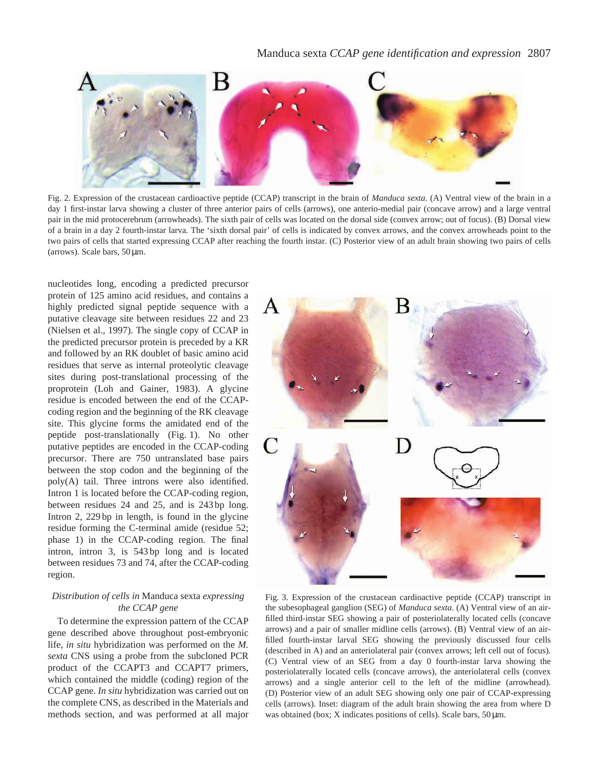# Manduca sexta *CCAP gene identification and expression* 2807



Fig. 2. Expression of the crustacean cardioactive peptide (CCAP) transcript in the brain of *Manduca sexta*. (A) Ventral view of the brain in a day 1 first-instar larva showing a cluster of three anterior pairs of cells (arrows), one anterio-medial pair (concave arrow) and a large ventral pair in the mid protocerebrum (arrowheads). The sixth pair of cells was located on the dorsal side (convex arrow; out of focus). (B) Dorsal view of a brain in a day 2 fourth-instar larva. The 'sixth dorsal pair' of cells is indicated by convex arrows, and the convex arrowheads point to the two pairs of cells that started expressing CCAP after reaching the fourth instar. (C) Posterior view of an adult brain showing two pairs of cells (arrows). Scale bars, 50 µm.

nucleotides long, encoding a predicted precursor protein of 125 amino acid residues, and contains a highly predicted signal peptide sequence with a putative cleavage site between residues 22 and 23 (Nielsen et al., 1997). The single copy of CCAP in the predicted precursor protein is preceded by a KR and followed by an RK doublet of basic amino acid residues that serve as internal proteolytic cleavage sites during post-translational processing of the proprotein (Loh and Gainer, 1983). A glycine residue is encoded between the end of the CCAPcoding region and the beginning of the RK cleavage site. This glycine forms the amidated end of the peptide post-translationally (Fig. 1). No other putative peptides are encoded in the CCAP-coding precursor. There are 750 untranslated base pairs between the stop codon and the beginning of the poly(A) tail. Three introns were also identified. Intron 1 is located before the CCAP-coding region, between residues 24 and 25, and is 243 bp long. Intron 2, 229 bp in length, is found in the glycine residue forming the C-terminal amide (residue 52; phase 1) in the CCAP-coding region. The final intron, intron 3, is 543 bp long and is located between residues 73 and 74, after the CCAP-coding region.

# *Distribution of cells in* Manduca sexta *expressing the CCAP gene*

To determine the expression pattern of the CCAP gene described above throughout post-embryonic life, *in situ* hybridization was performed on the *M. sexta* CNS using a probe from the subcloned PCR product of the CCAPT3 and CCAPT7 primers, which contained the middle (coding) region of the CCAP gene. *In situ* hybridization was carried out on the complete CNS, as described in the Materials and methods section, and was performed at all major



Fig. 3. Expression of the crustacean cardioactive peptide (CCAP) transcript in the subesophageal ganglion (SEG) of *Manduca sexta*. (A) Ventral view of an airfilled third-instar SEG showing a pair of posteriolaterally located cells (concave arrows) and a pair of smaller midline cells (arrows). (B) Ventral view of an airfilled fourth-instar larval SEG showing the previously discussed four cells (described in A) and an anteriolateral pair (convex arrows; left cell out of focus). (C) Ventral view of an SEG from a day 0 fourth-instar larva showing the posteriolaterally located cells (concave arrows), the anteriolateral cells (convex arrows) and a single anterior cell to the left of the midline (arrowhead). (D) Posterior view of an adult SEG showing only one pair of CCAP-expressing cells (arrows). Inset: diagram of the adult brain showing the area from where D was obtained (box; X indicates positions of cells). Scale bars,  $50 \,\mu m$ .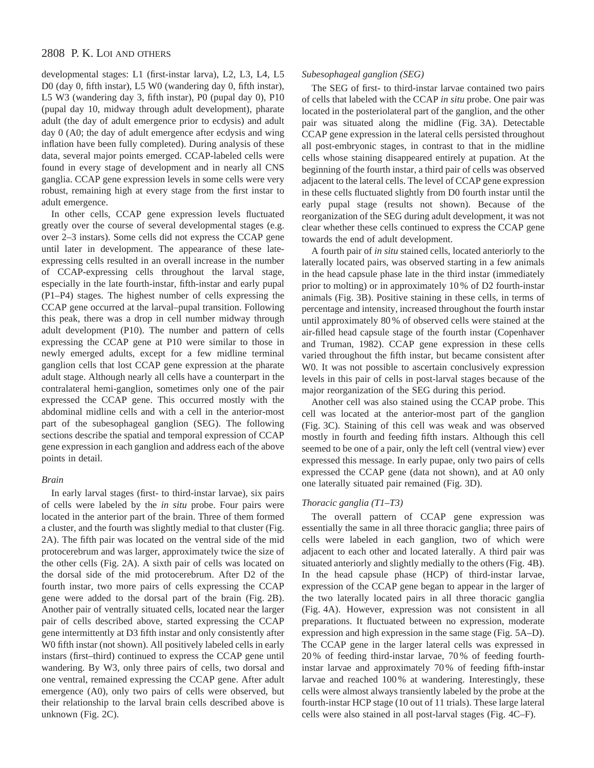developmental stages: L1 (first-instar larva), L2, L3, L4, L5 D0 (day 0, fifth instar), L5 W0 (wandering day 0, fifth instar), L5 W3 (wandering day 3, fifth instar), P0 (pupal day 0), P10 (pupal day 10, midway through adult development), pharate adult (the day of adult emergence prior to ecdysis) and adult day 0 (A0; the day of adult emergence after ecdysis and wing inflation have been fully completed). During analysis of these data, several major points emerged. CCAP-labeled cells were found in every stage of development and in nearly all CNS ganglia. CCAP gene expression levels in some cells were very robust, remaining high at every stage from the first instar to adult emergence.

In other cells, CCAP gene expression levels fluctuated greatly over the course of several developmental stages (e.g. over 2–3 instars). Some cells did not express the CCAP gene until later in development. The appearance of these lateexpressing cells resulted in an overall increase in the number of CCAP-expressing cells throughout the larval stage, especially in the late fourth-instar, fifth-instar and early pupal (P1–P4) stages. The highest number of cells expressing the CCAP gene occurred at the larval–pupal transition. Following this peak, there was a drop in cell number midway through adult development (P10). The number and pattern of cells expressing the CCAP gene at P10 were similar to those in newly emerged adults, except for a few midline terminal ganglion cells that lost CCAP gene expression at the pharate adult stage. Although nearly all cells have a counterpart in the contralateral hemi-ganglion, sometimes only one of the pair expressed the CCAP gene. This occurred mostly with the abdominal midline cells and with a cell in the anterior-most part of the subesophageal ganglion (SEG). The following sections describe the spatial and temporal expression of CCAP gene expression in each ganglion and address each of the above points in detail.

#### *Brain*

In early larval stages (first- to third-instar larvae), six pairs of cells were labeled by the *in situ* probe. Four pairs were located in the anterior part of the brain. Three of them formed a cluster, and the fourth was slightly medial to that cluster (Fig. 2A). The fifth pair was located on the ventral side of the mid protocerebrum and was larger, approximately twice the size of the other cells (Fig. 2A). A sixth pair of cells was located on the dorsal side of the mid protocerebrum. After D2 of the fourth instar, two more pairs of cells expressing the CCAP gene were added to the dorsal part of the brain (Fig. 2B). Another pair of ventrally situated cells, located near the larger pair of cells described above, started expressing the CCAP gene intermittently at D3 fifth instar and only consistently after W0 fifth instar (not shown). All positively labeled cells in early instars (first–third) continued to express the CCAP gene until wandering. By W3, only three pairs of cells, two dorsal and one ventral, remained expressing the CCAP gene. After adult emergence (A0), only two pairs of cells were observed, but their relationship to the larval brain cells described above is unknown (Fig. 2C).

### *Subesophageal ganglion (SEG)*

The SEG of first- to third-instar larvae contained two pairs of cells that labeled with the CCAP *in situ* probe. One pair was located in the posteriolateral part of the ganglion, and the other pair was situated along the midline (Fig. 3A). Detectable CCAP gene expression in the lateral cells persisted throughout all post-embryonic stages, in contrast to that in the midline cells whose staining disappeared entirely at pupation. At the beginning of the fourth instar, a third pair of cells was observed adjacent to the lateral cells. The level of CCAP gene expression in these cells fluctuated slightly from D0 fourth instar until the early pupal stage (results not shown). Because of the reorganization of the SEG during adult development, it was not clear whether these cells continued to express the CCAP gene towards the end of adult development.

A fourth pair of *in situ* stained cells, located anteriorly to the laterally located pairs, was observed starting in a few animals in the head capsule phase late in the third instar (immediately prior to molting) or in approximately 10 % of D2 fourth-instar animals (Fig. 3B). Positive staining in these cells, in terms of percentage and intensity, increased throughout the fourth instar until approximately 80 % of observed cells were stained at the air-filled head capsule stage of the fourth instar (Copenhaver and Truman, 1982). CCAP gene expression in these cells varied throughout the fifth instar, but became consistent after W0. It was not possible to ascertain conclusively expression levels in this pair of cells in post-larval stages because of the major reorganization of the SEG during this period.

Another cell was also stained using the CCAP probe. This cell was located at the anterior-most part of the ganglion (Fig. 3C). Staining of this cell was weak and was observed mostly in fourth and feeding fifth instars. Although this cell seemed to be one of a pair, only the left cell (ventral view) ever expressed this message. In early pupae, only two pairs of cells expressed the CCAP gene (data not shown), and at A0 only one laterally situated pair remained (Fig. 3D).

## *Thoracic ganglia (T1–T3)*

The overall pattern of CCAP gene expression was essentially the same in all three thoracic ganglia; three pairs of cells were labeled in each ganglion, two of which were adjacent to each other and located laterally. A third pair was situated anteriorly and slightly medially to the others (Fig. 4B). In the head capsule phase (HCP) of third-instar larvae, expression of the CCAP gene began to appear in the larger of the two laterally located pairs in all three thoracic ganglia (Fig. 4A). However, expression was not consistent in all preparations. It fluctuated between no expression, moderate expression and high expression in the same stage (Fig. 5A–D). The CCAP gene in the larger lateral cells was expressed in 20 % of feeding third-instar larvae, 70 % of feeding fourthinstar larvae and approximately 70 % of feeding fifth-instar larvae and reached 100 % at wandering. Interestingly, these cells were almost always transiently labeled by the probe at the fourth-instar HCP stage (10 out of 11 trials). These large lateral cells were also stained in all post-larval stages (Fig. 4C–F).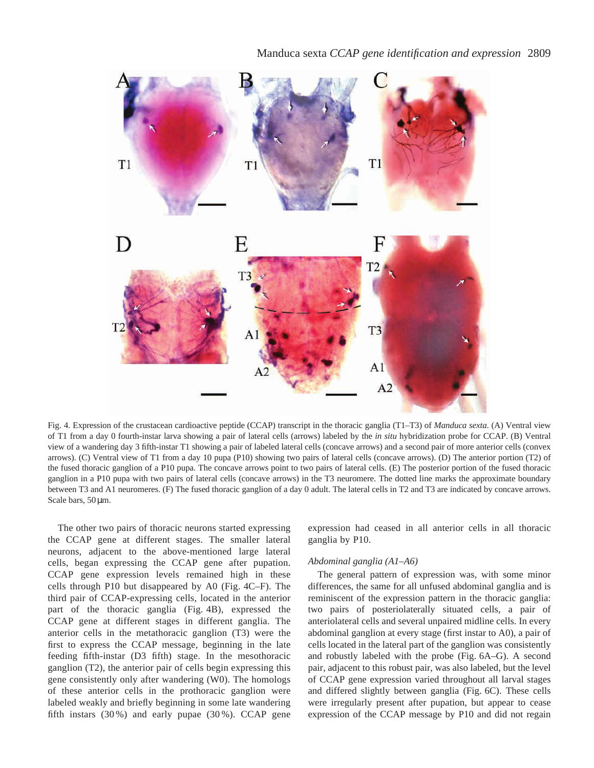

Fig. 4. Expression of the crustacean cardioactive peptide (CCAP) transcript in the thoracic ganglia (T1–T3) of *Manduca sexta*. (A) Ventral view of T1 from a day 0 fourth-instar larva showing a pair of lateral cells (arrows) labeled by the *in situ* hybridization probe for CCAP. (B) Ventral view of a wandering day 3 fifth-instar T1 showing a pair of labeled lateral cells (concave arrows) and a second pair of more anterior cells (convex arrows). (C) Ventral view of T1 from a day 10 pupa (P10) showing two pairs of lateral cells (concave arrows). (D) The anterior portion (T2) of the fused thoracic ganglion of a P10 pupa. The concave arrows point to two pairs of lateral cells. (E) The posterior portion of the fused thoracic ganglion in a P10 pupa with two pairs of lateral cells (concave arrows) in the T3 neuromere. The dotted line marks the approximate boundary between T3 and A1 neuromeres. (F) The fused thoracic ganglion of a day 0 adult. The lateral cells in T2 and T3 are indicated by concave arrows. Scale bars, 50 µm.

The other two pairs of thoracic neurons started expressing the CCAP gene at different stages. The smaller lateral neurons, adjacent to the above-mentioned large lateral cells, began expressing the CCAP gene after pupation. CCAP gene expression levels remained high in these cells through P10 but disappeared by A0 (Fig. 4C–F). The third pair of CCAP-expressing cells, located in the anterior part of the thoracic ganglia (Fig. 4B), expressed the CCAP gene at different stages in different ganglia. The anterior cells in the metathoracic ganglion (T3) were the first to express the CCAP message, beginning in the late feeding fifth-instar (D3 fifth) stage. In the mesothoracic ganglion (T2), the anterior pair of cells begin expressing this gene consistently only after wandering (W0). The homologs of these anterior cells in the prothoracic ganglion were labeled weakly and briefly beginning in some late wandering fifth instars (30 %) and early pupae (30 %). CCAP gene expression had ceased in all anterior cells in all thoracic ganglia by P10.

### *Abdominal ganglia (A1–A6)*

The general pattern of expression was, with some minor differences, the same for all unfused abdominal ganglia and is reminiscent of the expression pattern in the thoracic ganglia: two pairs of posteriolaterally situated cells, a pair of anteriolateral cells and several unpaired midline cells. In every abdominal ganglion at every stage (first instar to A0), a pair of cells located in the lateral part of the ganglion was consistently and robustly labeled with the probe (Fig. 6A–G). A second pair, adjacent to this robust pair, was also labeled, but the level of CCAP gene expression varied throughout all larval stages and differed slightly between ganglia (Fig. 6C). These cells were irregularly present after pupation, but appear to cease expression of the CCAP message by P10 and did not regain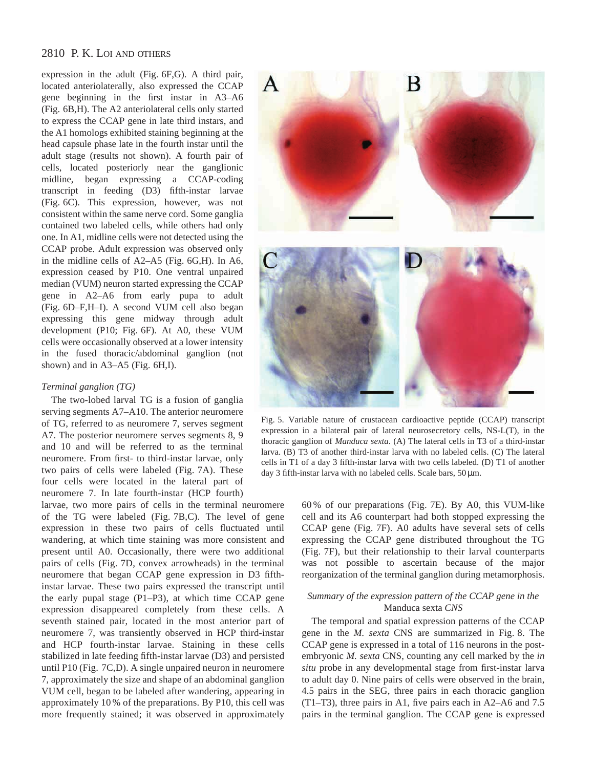expression in the adult (Fig. 6F,G). A third pair, located anteriolaterally, also expressed the CCAP gene beginning in the first instar in A3–A6 (Fig. 6B,H). The A2 anteriolateral cells only started to express the CCAP gene in late third instars, and the A1 homologs exhibited staining beginning at the head capsule phase late in the fourth instar until the adult stage (results not shown). A fourth pair of cells, located posteriorly near the ganglionic midline, began expressing a CCAP-coding transcript in feeding (D3) fifth-instar larvae (Fig. 6C). This expression, however, was not consistent within the same nerve cord. Some ganglia contained two labeled cells, while others had only one. In A1, midline cells were not detected using the CCAP probe. Adult expression was observed only in the midline cells of A2–A5 (Fig. 6G,H). In A6, expression ceased by P10. One ventral unpaired median (VUM) neuron started expressing the CCAP gene in A2–A6 from early pupa to adult (Fig. 6D–F,H–I). A second VUM cell also began expressing this gene midway through adult development (P10; Fig. 6F). At A0, these VUM cells were occasionally observed at a lower intensity in the fused thoracic/abdominal ganglion (not shown) and in A3–A5 (Fig. 6H,I).

## *Terminal ganglion (TG)*

The two-lobed larval TG is a fusion of ganglia serving segments A7–A10. The anterior neuromere of TG, referred to as neuromere 7, serves segment A7. The posterior neuromere serves segments 8, 9 and 10 and will be referred to as the terminal neuromere. From first- to third-instar larvae, only two pairs of cells were labeled (Fig. 7A). These four cells were located in the lateral part of neuromere 7. In late fourth-instar (HCP fourth)

larvae, two more pairs of cells in the terminal neuromere of the TG were labeled (Fig. 7B,C). The level of gene expression in these two pairs of cells fluctuated until wandering, at which time staining was more consistent and present until A0. Occasionally, there were two additional pairs of cells (Fig. 7D, convex arrowheads) in the terminal neuromere that began CCAP gene expression in D3 fifthinstar larvae. These two pairs expressed the transcript until the early pupal stage (P1–P3), at which time CCAP gene expression disappeared completely from these cells. A seventh stained pair, located in the most anterior part of neuromere 7, was transiently observed in HCP third-instar and HCP fourth-instar larvae. Staining in these cells stabilized in late feeding fifth-instar larvae (D3) and persisted until P10 (Fig. 7C,D). A single unpaired neuron in neuromere 7, approximately the size and shape of an abdominal ganglion VUM cell, began to be labeled after wandering, appearing in approximately 10 % of the preparations. By P10, this cell was more frequently stained; it was observed in approximately



Fig. 5. Variable nature of crustacean cardioactive peptide (CCAP) transcript expression in a bilateral pair of lateral neurosecretory cells, NS-L(T), in the thoracic ganglion of *Manduca sexta*. (A) The lateral cells in T3 of a third-instar larva. (B) T3 of another third-instar larva with no labeled cells. (C) The lateral cells in T1 of a day 3 fifth-instar larva with two cells labeled. (D) T1 of another day 3 fifth-instar larva with no labeled cells. Scale bars, 50  $\mu$ m.

60 % of our preparations (Fig. 7E). By A0, this VUM-like cell and its A6 counterpart had both stopped expressing the CCAP gene (Fig. 7F). A0 adults have several sets of cells expressing the CCAP gene distributed throughout the TG (Fig. 7F), but their relationship to their larval counterparts was not possible to ascertain because of the major reorganization of the terminal ganglion during metamorphosis.

# *Summary of the expression pattern of the CCAP gene in the* Manduca sexta *CNS*

The temporal and spatial expression patterns of the CCAP gene in the *M. sexta* CNS are summarized in Fig. 8. The CCAP gene is expressed in a total of 116 neurons in the postembryonic *M. sexta* CNS, counting any cell marked by the *in situ* probe in any developmental stage from first-instar larva to adult day 0. Nine pairs of cells were observed in the brain, 4.5 pairs in the SEG, three pairs in each thoracic ganglion (T1–T3), three pairs in A1, five pairs each in A2–A6 and 7.5 pairs in the terminal ganglion. The CCAP gene is expressed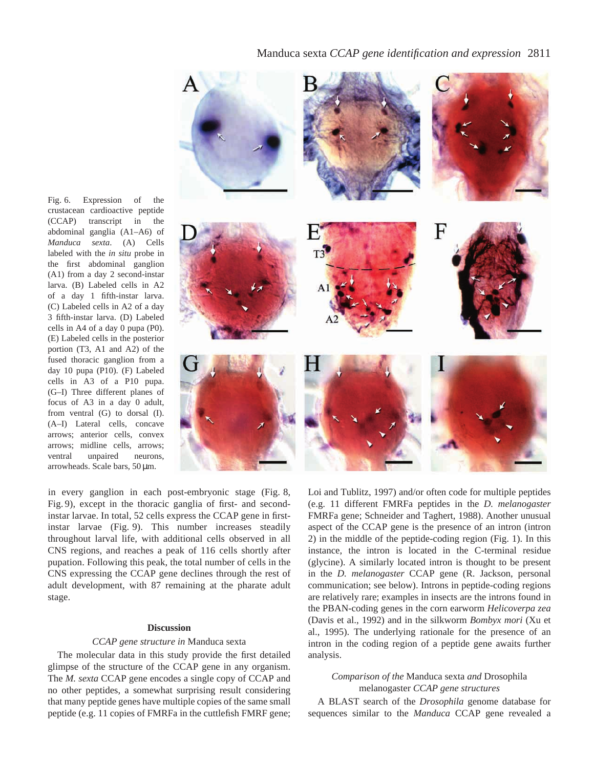Fig. 6. Expression of the crustacean cardioactive peptide (CCAP) transcript in the abdominal ganglia (A1–A6) of *Manduca sexta*. (A) Cells labeled with the *in situ* probe in the first abdominal ganglion (A1) from a day 2 second-instar larva. (B) Labeled cells in A2 of a day 1 fifth-instar larva. (C) Labeled cells in A2 of a day 3 fifth-instar larva. (D) Labeled cells in A4 of a day 0 pupa (P0). (E) Labeled cells in the posterior portion (T3, A1 and A2) of the fused thoracic ganglion from a day 10 pupa (P10). (F) Labeled cells in A3 of a P10 pupa. (G–I) Three different planes of focus of A3 in a day 0 adult, from ventral (G) to dorsal (I). (A–I) Lateral cells, concave arrows; anterior cells, convex arrows; midline cells, arrows; ventral unpaired neurons, arrowheads. Scale bars, 50 µm.



in every ganglion in each post-embryonic stage (Fig. 8, Fig. 9), except in the thoracic ganglia of first- and secondinstar larvae. In total, 52 cells express the CCAP gene in firstinstar larvae (Fig. 9). This number increases steadily throughout larval life, with additional cells observed in all CNS regions, and reaches a peak of 116 cells shortly after pupation. Following this peak, the total number of cells in the CNS expressing the CCAP gene declines through the rest of adult development, with 87 remaining at the pharate adult stage.

#### **Discussion**

#### *CCAP gene structure in* Manduca sexta

The molecular data in this study provide the first detailed glimpse of the structure of the CCAP gene in any organism. The *M. sexta* CCAP gene encodes a single copy of CCAP and no other peptides, a somewhat surprising result considering that many peptide genes have multiple copies of the same small peptide (e.g. 11 copies of FMRFa in the cuttlefish FMRF gene; Loi and Tublitz, 1997) and/or often code for multiple peptides (e.g. 11 different FMRFa peptides in the *D. melanogaster* FMRFa gene; Schneider and Taghert, 1988). Another unusual aspect of the CCAP gene is the presence of an intron (intron 2) in the middle of the peptide-coding region (Fig. 1). In this instance, the intron is located in the C-terminal residue (glycine). A similarly located intron is thought to be present in the *D. melanogaster* CCAP gene (R. Jackson, personal communication; see below). Introns in peptide-coding regions are relatively rare; examples in insects are the introns found in the PBAN-coding genes in the corn earworm *Helicoverpa zea* (Davis et al., 1992) and in the silkworm *Bombyx mori* (Xu et al., 1995). The underlying rationale for the presence of an intron in the coding region of a peptide gene awaits further analysis.

# *Comparison of the* Manduca sexta *and* Drosophila melanogaster *CCAP gene structures*

A BLAST search of the *Drosophila* genome database for sequences similar to the *Manduca* CCAP gene revealed a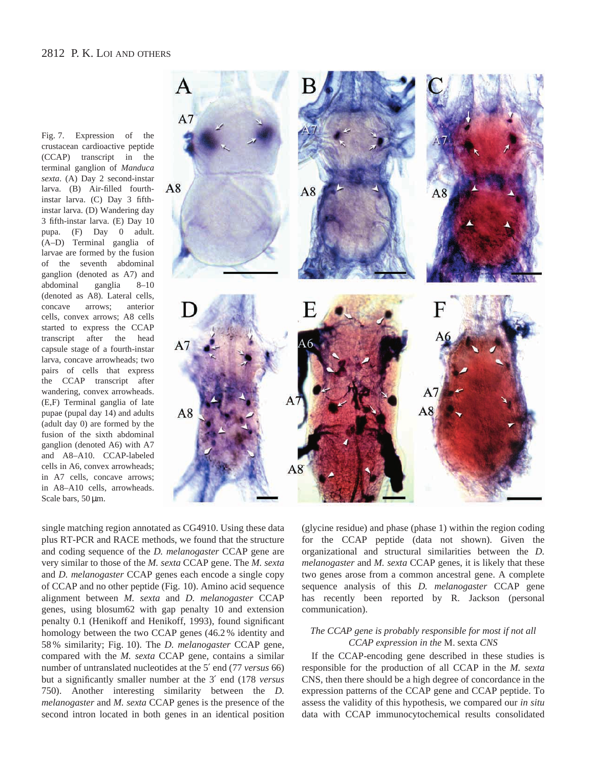Fig. 7. Expression of the crustacean cardioactive peptide (CCAP) transcript in the terminal ganglion of *Manduca sexta*. (A) Day 2 second-instar larva. (B) Air-filled fourthinstar larva. (C) Day 3 fifthinstar larva. (D) Wandering day 3 fifth-instar larva. (E) Day 10 pupa. (F) Day 0 adult. (A–D) Terminal ganglia of larvae are formed by the fusion of the seventh abdominal ganglion (denoted as A7) and abdominal ganglia 8–10 (denoted as A8). Lateral cells, concave arrows; anterior cells, convex arrows; A8 cells started to express the CCAP transcript after the head capsule stage of a fourth-instar larva, concave arrowheads; two pairs of cells that express the CCAP transcript after wandering, convex arrowheads. (E,F) Terminal ganglia of late pupae (pupal day 14) and adults (adult day 0) are formed by the fusion of the sixth abdominal ganglion (denoted A6) with A7 and A8–A10. CCAP-labeled cells in A6, convex arrowheads; in A7 cells, concave arrows; in A8–A10 cells, arrowheads. Scale bars, 50  $\mu$ m.



single matching region annotated as CG4910. Using these data plus RT-PCR and RACE methods, we found that the structure and coding sequence of the *D. melanogaster* CCAP gene are very similar to those of the *M. sexta* CCAP gene. The *M. sexta* and *D. melanogaster* CCAP genes each encode a single copy of CCAP and no other peptide (Fig. 10). Amino acid sequence alignment between *M. sexta* and *D. melanogaster* CCAP genes, using blosum62 with gap penalty 10 and extension penalty 0.1 (Henikoff and Henikoff, 1993), found significant homology between the two CCAP genes (46.2 % identity and 58 % similarity; Fig. 10). The *D. melanogaster* CCAP gene, compared with the *M. sexta* CCAP gene, contains a similar number of untranslated nucleotides at the 5′ end (77 *versus* 66) but a significantly smaller number at the 3′ end (178 *versus* 750). Another interesting similarity between the *D. melanogaster* and *M. sexta* CCAP genes is the presence of the second intron located in both genes in an identical position

(glycine residue) and phase (phase 1) within the region coding for the CCAP peptide (data not shown). Given the organizational and structural similarities between the *D. melanogaster* and *M. sexta* CCAP genes, it is likely that these two genes arose from a common ancestral gene. A complete sequence analysis of this *D. melanogaster* CCAP gene has recently been reported by R. Jackson (personal communication).

# *The CCAP gene is probably responsible for most if not all CCAP expression in the* M. sexta *CNS*

If the CCAP-encoding gene described in these studies is responsible for the production of all CCAP in the *M. sexta* CNS, then there should be a high degree of concordance in the expression patterns of the CCAP gene and CCAP peptide. To assess the validity of this hypothesis, we compared our *in situ* data with CCAP immunocytochemical results consolidated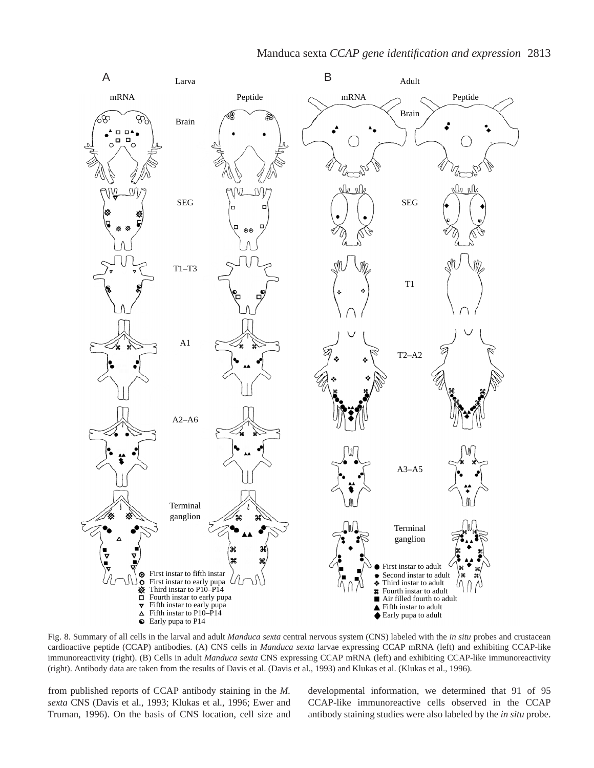

Fig. 8. Summary of all cells in the larval and adult *Manduca sexta* central nervous system (CNS) labeled with the *in situ* probes and crustacean cardioactive peptide (CCAP) antibodies. (A) CNS cells in *Manduca sexta* larvae expressing CCAP mRNA (left) and exhibiting CCAP-like immunoreactivity (right). (B) Cells in adult *Manduca sexta* CNS expressing CCAP mRNA (left) and exhibiting CCAP-like immunoreactivity (right). Antibody data are taken from the results of Davis et al. (Davis et al., 1993) and Klukas et al. (Klukas et al., 1996).

from published reports of CCAP antibody staining in the *M. sexta* CNS (Davis et al., 1993; Klukas et al., 1996; Ewer and Truman, 1996). On the basis of CNS location, cell size and developmental information, we determined that 91 of 95 CCAP-like immunoreactive cells observed in the CCAP antibody staining studies were also labeled by the *in situ* probe.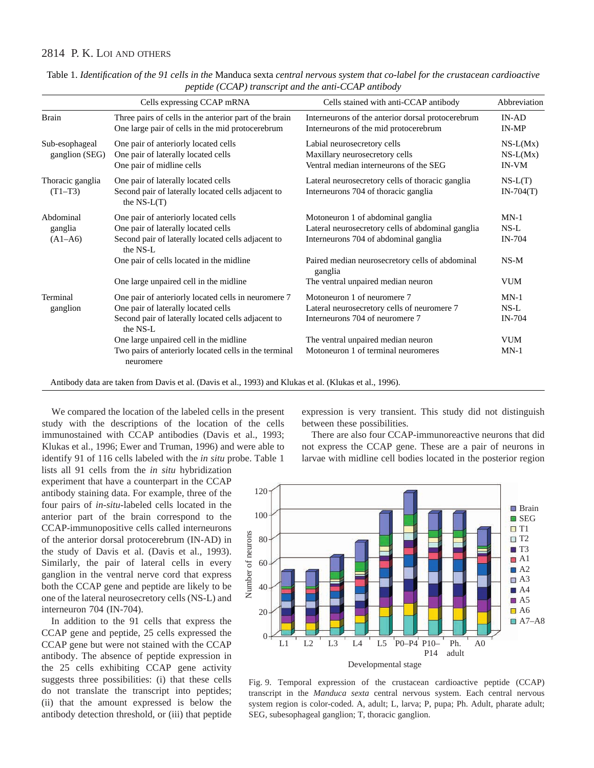|                                   | pepmae (CCIII) manseripi ana me anni celli anniboa)                                                                                                          |                                                                                                                                 |                                          |
|-----------------------------------|--------------------------------------------------------------------------------------------------------------------------------------------------------------|---------------------------------------------------------------------------------------------------------------------------------|------------------------------------------|
|                                   | Cells expressing CCAP mRNA                                                                                                                                   | Cells stained with anti-CCAP antibody                                                                                           | Abbreviation                             |
| Brain                             | Three pairs of cells in the anterior part of the brain<br>One large pair of cells in the mid protocerebrum                                                   | Interneurons of the anterior dorsal protocerebrum<br>Interneurons of the mid protocerebrum                                      | $IN-AD$<br>IN-MP                         |
| Sub-esophageal<br>ganglion (SEG)  | One pair of anteriorly located cells<br>One pair of laterally located cells<br>One pair of midline cells                                                     | Labial neurosecretory cells<br>Maxillary neurosecretory cells<br>Ventral median interneurons of the SEG                         | $NS-L(Mx)$<br>$NS-L(Mx)$<br><b>IN-VM</b> |
| Thoracic ganglia<br>$(T1-T3)$     | One pair of laterally located cells<br>Second pair of laterally located cells adjacent to<br>the $NS-L(T)$                                                   | Lateral neurosecretory cells of thoracic ganglia<br>Interneurons 704 of thoracic ganglia                                        | $NS-L(T)$<br>$IN-704(T)$                 |
| Abdominal<br>ganglia<br>$(A1-A6)$ | One pair of anteriorly located cells<br>One pair of laterally located cells<br>Second pair of laterally located cells adjacent to<br>the NS-L                | Motoneuron 1 of abdominal ganglia<br>Lateral neurosecretory cells of abdominal ganglia<br>Interneurons 704 of abdominal ganglia | $MN-1$<br>$NS-L$<br><b>IN-704</b>        |
|                                   | One pair of cells located in the midline<br>One large unpaired cell in the midline                                                                           | Paired median neurosecretory cells of abdominal<br>ganglia<br>The ventral unpaired median neuron                                | $NS-M$<br><b>VUM</b>                     |
| Terminal<br>ganglion              | One pair of anteriorly located cells in neuromere 7<br>One pair of laterally located cells<br>Second pair of laterally located cells adjacent to<br>the NS-L | Motoneuron 1 of neuromere 7<br>Lateral neurosecretory cells of neuromere 7<br>Interneurons 704 of neuromere 7                   | $MN-1$<br>$NS-L$<br><b>IN-704</b>        |
|                                   | One large unpaired cell in the midline<br>Two pairs of anteriorly located cells in the terminal<br>neuromere                                                 | The ventral unpaired median neuron<br>Motoneuron 1 of terminal neuromeres                                                       | <b>VUM</b><br>$MN-1$                     |

Table 1. *Identification of the 91 cells in the* Manduca sexta *central nervous system that co-label for the crustacean cardioactive peptide (CCAP) transcript and the anti-CCAP antibody*

Antibody data are taken from Davis et al. (Davis et al., 1993) and Klukas et al. (Klukas et al., 1996).

We compared the location of the labeled cells in the present study with the descriptions of the location of the cells immunostained with CCAP antibodies (Davis et al., 1993; Klukas et al., 1996; Ewer and Truman, 1996) and were able to identify 91 of 116 cells labeled with the *in situ* probe. Table 1

lists all 91 cells from the *in situ* hybridization experiment that have a counterpart in the CCAP antibody staining data. For example, three of the four pairs of *in-situ*-labeled cells located in the anterior part of the brain correspond to the CCAP-immunopositive cells called interneurons of the anterior dorsal protocerebrum (IN-AD) in the study of Davis et al. (Davis et al., 1993). Similarly, the pair of lateral cells in every ganglion in the ventral nerve cord that express both the CCAP gene and peptide are likely to be one of the lateral neurosecretory cells (NS-L) and interneuron 704 (IN-704).

In addition to the 91 cells that express the CCAP gene and peptide, 25 cells expressed the CCAP gene but were not stained with the CCAP antibody. The absence of peptide expression in the 25 cells exhibiting CCAP gene activity suggests three possibilities: (i) that these cells do not translate the transcript into peptides; (ii) that the amount expressed is below the antibody detection threshold, or (iii) that peptide

expression is very transient. This study did not distinguish between these possibilities.

There are also four CCAP-immunoreactive neurons that did not express the CCAP gene. These are a pair of neurons in larvae with midline cell bodies located in the posterior region



Fig. 9. Temporal expression of the crustacean cardioactive peptide (CCAP) transcript in the *Manduca sexta* central nervous system. Each central nervous system region is color-coded. A, adult; L, larva; P, pupa; Ph. Adult, pharate adult; SEG, subesophageal ganglion; T, thoracic ganglion.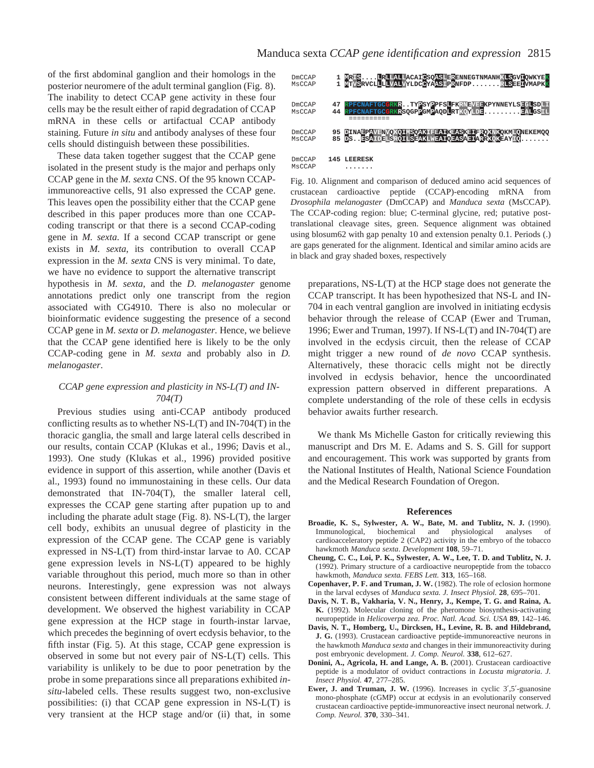of the first abdominal ganglion and their homologs in the posterior neuromere of the adult terminal ganglion (Fig. 8). The inability to detect CCAP gene activity in these four cells may be the result either of rapid degradation of CCAP mRNA in these cells or artifactual CCAP antibody staining. Future *in situ* and antibody analyses of these four cells should distinguish between these possibilities.

These data taken together suggest that the CCAP gene isolated in the present study is the major and perhaps only CCAP gene in the *M. sexta* CNS. Of the 95 known CCAPimmunoreactive cells, 91 also expressed the CCAP gene. This leaves open the possibility either that the CCAP gene described in this paper produces more than one CCAPcoding transcript or that there is a second CCAP-coding gene in *M. sexta*. If a second CCAP transcript or gene exists in *M. sexta*, its contribution to overall CCAP expression in the *M. sexta* CNS is very minimal. To date, we have no evidence to support the alternative transcript

hypothesis in *M. sexta*, and the *D. melanogaster* genome annotations predict only one transcript from the region associated with CG4910. There is also no molecular or bioinformatic evidence suggesting the presence of a second CCAP gene in *M. sexta* or *D. melanogaster.* Hence, we believe that the CCAP gene identified here is likely to be the only CCAP-coding gene in *M. sexta* and probably also in *D. melanogaster*.

# *CCAP gene expression and plasticity in NS-L(T) and IN-704(T)*

Previous studies using anti-CCAP antibody produced conflicting results as to whether  $NS-L(T)$  and  $IN-704(T)$  in the thoracic ganglia, the small and large lateral cells described in our results, contain CCAP (Klukas et al., 1996; Davis et al., 1993). One study (Klukas et al., 1996) provided positive evidence in support of this assertion, while another (Davis et al., 1993) found no immunostaining in these cells. Our data demonstrated that IN-704(T), the smaller lateral cell, expresses the CCAP gene starting after pupation up to and including the pharate adult stage (Fig. 8). NS-L(T), the larger cell body, exhibits an unusual degree of plasticity in the expression of the CCAP gene. The CCAP gene is variably expressed in NS-L(T) from third-instar larvae to A0. CCAP gene expression levels in NS-L(T) appeared to be highly variable throughout this period, much more so than in other neurons. Interestingly, gene expression was not always consistent between different individuals at the same stage of development. We observed the highest variability in CCAP gene expression at the HCP stage in fourth-instar larvae, which precedes the beginning of overt ecdysis behavior, to the fifth instar (Fig. 5). At this stage, CCAP gene expression is observed in some but not every pair of NS-L(T) cells. This variability is unlikely to be due to poor penetration by the probe in some preparations since all preparations exhibited *insitu*-labeled cells. These results suggest two, non-exclusive possibilities: (i) that CCAP gene expression in NS-L(T) is very transient at the HCP stage and/or (ii) that, in some



Fig. 10. Alignment and comparison of deduced amino acid sequences of crustacean cardioactive peptide (CCAP)-encoding mRNA from *Drosophila melanogaster* (DmCCAP) and *Manduca sexta* (MsCCAP). The CCAP-coding region: blue; C-terminal glycine, red; putative posttranslational cleavage sites, green. Sequence alignment was obtained using blosum62 with gap penalty 10 and extension penalty 0.1. Periods (.) are gaps generated for the alignment. Identical and similar amino acids are in black and gray shaded boxes, respectively

preparations, NS-L(T) at the HCP stage does not generate the CCAP transcript. It has been hypothesized that NS-L and IN-704 in each ventral ganglion are involved in initiating ecdysis behavior through the release of CCAP (Ewer and Truman, 1996; Ewer and Truman, 1997). If NS-L(T) and IN-704(T) are involved in the ecdysis circuit, then the release of CCAP might trigger a new round of *de novo* CCAP synthesis. Alternatively, these thoracic cells might not be directly involved in ecdysis behavior, hence the uncoordinated expression pattern observed in different preparations. A complete understanding of the role of these cells in ecdysis behavior awaits further research.

We thank Ms Michelle Gaston for critically reviewing this manuscript and Drs M. E. Adams and S. S. Gill for support and encouragement. This work was supported by grants from the National Institutes of Health, National Science Foundation and the Medical Research Foundation of Oregon.

#### **References**

- **Broadie, K. S., Sylwester, A. W., Bate, M. and Tublitz, N. J.** (1990). Immunological, biochemical and physiological analyses of cardioacceleratory peptide 2 (CAP2) activity in the embryo of the tobacco hawkmoth *Manduca sexta*. *Development* **108**, 59–71.
- **Cheung, C. C., Loi, P. K., Sylwester, A. W., Lee, T. D. and Tublitz, N. J.** (1992). Primary structure of a cardioactive neuropeptide from the tobacco hawkmoth, *Manduca sexta. FEBS Lett.* **313**, 165–168.
- **Copenhaver, P. F. and Truman, J. W.** (1982). The role of eclosion hormone in the larval ecdyses of *Manduca sexta. J. Insect Physiol.* **28**, 695–701.
- **Davis, N. T. B., Vakharia, V. N., Henry, J., Kempe, T. G. and Raina, A. K.** (1992). Molecular cloning of the pheromone biosynthesis-activating neuropeptide in *Helicoverpa zea. Proc. Natl. Acad. Sci. USA* **89**, 142–146.
- **Davis, N. T., Homberg, U., Dircksen, H., Levine, R. B. and Hildebrand, J. G.** (1993). Crustacean cardioactive peptide-immunoreactive neurons in the hawkmoth *Manduca sexta* and changes in their immunoreactivity during post embryonic development. *J. Comp. Neurol.* **338**, 612–627.
- **Donini, A., Agricola, H. and Lange, A. B.** (2001). Crustacean cardioactive peptide is a modulator of oviduct contractions in *Locusta migratoria*. *J. Insect Physiol.* **47**, 277–285.
- **Ewer, J. and Truman, J. W.** (1996). Increases in cyclic 3′,5′-guanosine mono-phosphate (cGMP) occur at ecdysis in an evolutionarily conserved crustacean cardioactive peptide-immunoreactive insect neuronal network. *J. Comp. Neurol.* **370**, 330–341.